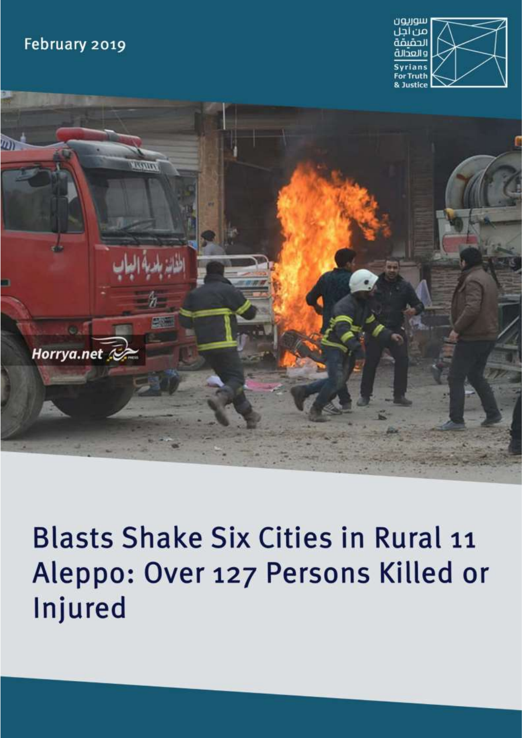## February 2019





# **Blasts Shake Six Cities in Rural 11** Aleppo: Over 127 Persons Killed or Injured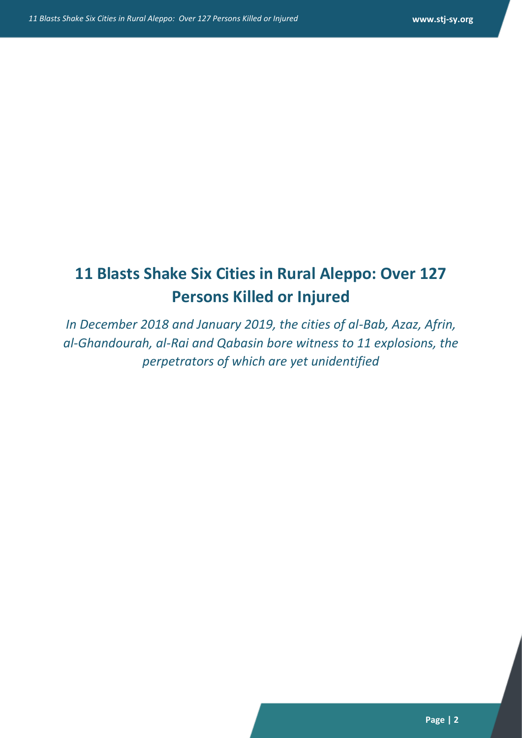# **11 Blasts Shake Six Cities in Rural Aleppo: Over 127 Persons Killed or Injured**

*In December 2018 and January 2019, the cities of al-Bab, Azaz, Afrin, al-Ghandourah, al-Rai and Qabasin bore witness to 11 explosions, the perpetrators of which are yet unidentified*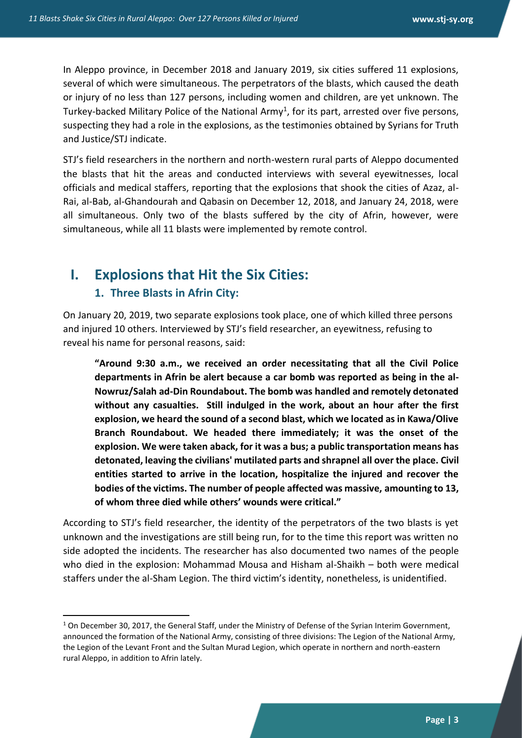In Aleppo province, in December 2018 and January 2019, six cities suffered 11 explosions, several of which were simultaneous. The perpetrators of the blasts, which caused the death or injury of no less than 127 persons, including women and children, are yet unknown. The Turkey-backed Military Police of the National Army<sup>1</sup>, for its part, arrested over five persons, suspecting they had a role in the explosions, as the testimonies obtained by Syrians for Truth and Justice/STJ indicate.

STJ's field researchers in the northern and north-western rural parts of Aleppo documented the blasts that hit the areas and conducted interviews with several eyewitnesses, local officials and medical staffers, reporting that the explosions that shook the cities of Azaz, al-Rai, al-Bab, al-Ghandourah and Qabasin on December 12, 2018, and January 24, 2018, were all simultaneous. Only two of the blasts suffered by the city of Afrin, however, were simultaneous, while all 11 blasts were implemented by remote control.

## **I. Explosions that Hit the Six Cities:**

#### **1. Three Blasts in Afrin City:**

1

On January 20, 2019, two separate explosions took place, one of which killed three persons and injured 10 others. Interviewed by STJ's field researcher, an eyewitness, refusing to reveal his name for personal reasons, said:

**"Around 9:30 a.m., we received an order necessitating that all the Civil Police departments in Afrin be alert because a car bomb was reported as being in the al-Nowruz/Salah ad-Din Roundabout. The bomb was handled and remotely detonated without any casualties. Still indulged in the work, about an hour after the first explosion, we heard the sound of a second blast, which we located as in Kawa/Olive Branch Roundabout. We headed there immediately; it was the onset of the explosion. We were taken aback, for it was a bus; a public transportation means has detonated, leaving the civilians' mutilated parts and shrapnel all over the place. Civil entities started to arrive in the location, hospitalize the injured and recover the bodies of the victims. The number of people affected was massive, amounting to 13, of whom three died while others' wounds were critical."**

According to STJ's field researcher, the identity of the perpetrators of the two blasts is yet unknown and the investigations are still being run, for to the time this report was written no side adopted the incidents. The researcher has also documented two names of the people who died in the explosion: Mohammad Mousa and Hisham al-Shaikh – both were medical staffers under the al-Sham Legion. The third victim's identity, nonetheless, is unidentified.

 $1$  On December 30, 2017, the General Staff, under the Ministry of Defense of the Syrian Interim Government, announced the formation of the National Army, consisting of three divisions: The Legion of the National Army, the Legion of the Levant Front and the Sultan Murad Legion, which operate in northern and north-eastern rural Aleppo, in addition to Afrin lately.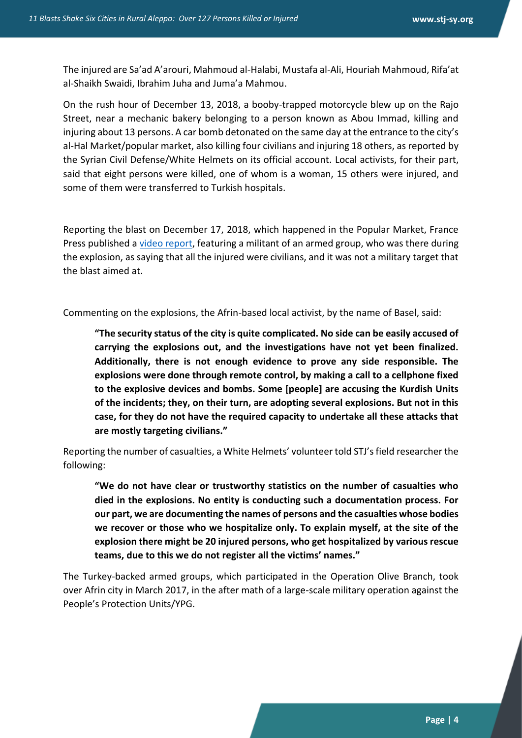The injured are Sa'ad A'arouri, Mahmoud al-Halabi, Mustafa al-Ali, Houriah Mahmoud, Rifa'at al-Shaikh Swaidi, Ibrahim Juha and Juma'a Mahmou.

On the rush hour of December 13, 2018, a booby-trapped motorcycle blew up on the Rajo Street, near a mechanic bakery belonging to a person known as Abou Immad, killing and injuring about 13 persons. A car bomb detonated on the same day at the entrance to the city's al-Hal Market/popular market, also killing four civilians and injuring 18 others, as reported by the Syrian Civil Defense/White Helmets on its official account. Local activists, for their part, said that eight persons were killed, one of whom is a woman, 15 others were injured, and some of them were transferred to Turkish hospitals.

Reporting the blast on December 17, 2018, which happened in the Popular Market, France Press published a [video report,](11%20Blasts%20Shake%20Six%20Cities%20in%20Rural%20Aleppo%20-%20Over%20127%20Persons%20Killed%20or%20Injured.docx) featuring a militant of an armed group, who was there during the explosion, as saying that all the injured were civilians, and it was not a military target that the blast aimed at.

Commenting on the explosions, the Afrin-based local activist, by the name of Basel, said:

**"The security status of the city is quite complicated. No side can be easily accused of carrying the explosions out, and the investigations have not yet been finalized. Additionally, there is not enough evidence to prove any side responsible. The explosions were done through remote control, by making a call to a cellphone fixed to the explosive devices and bombs. Some [people] are accusing the Kurdish Units of the incidents; they, on their turn, are adopting several explosions. But not in this case, for they do not have the required capacity to undertake all these attacks that are mostly targeting civilians."**

Reporting the number of casualties, a White Helmets' volunteer told STJ's field researcher the following:

**"We do not have clear or trustworthy statistics on the number of casualties who died in the explosions. No entity is conducting such a documentation process. For our part, we are documenting the names of persons and the casualties whose bodies we recover or those who we hospitalize only. To explain myself, at the site of the explosion there might be 20 injured persons, who get hospitalized by various rescue teams, due to this we do not register all the victims' names."** 

The Turkey-backed armed groups, which participated in the Operation Olive Branch, took over Afrin city in March 2017, in the after math of a large-scale military operation against the People's Protection Units/YPG.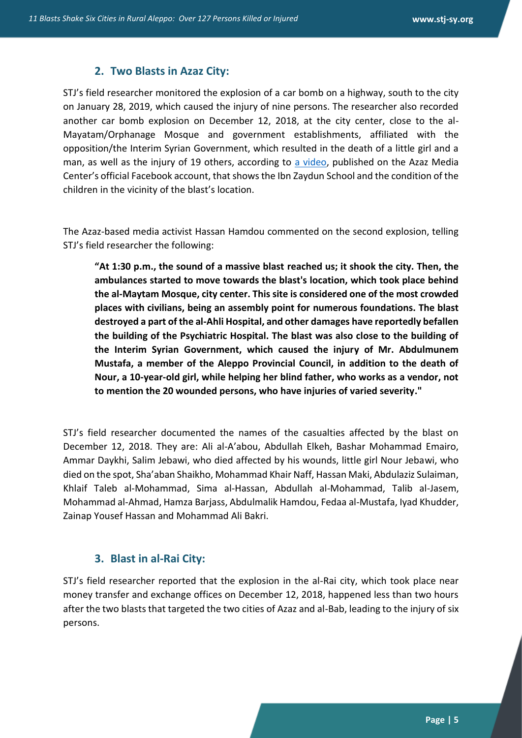#### **2. Two Blasts in Azaz City:**

STJ's field researcher monitored the explosion of a car bomb on a highway, south to the city on January 28, 2019, which caused the injury of nine persons. The researcher also recorded another car bomb explosion on December 12, 2018, at the city center, close to the al-Mayatam/Orphanage Mosque and government establishments, affiliated with the opposition/the Interim Syrian Government, which resulted in the death of a little girl and a man, as well as the injury of 19 others, according to [a video,](11%20Blasts%20Shake%20Six%20Cities%20in%20Rural%20Aleppo%20-%20Over%20127%20Persons%20Killed%20or%20Injured.docx) published on the Azaz Media Center's official Facebook account, that shows the Ibn Zaydun School and the condition of the children in the vicinity of the blast's location.

The Azaz-based media activist Hassan Hamdou commented on the second explosion, telling STJ's field researcher the following:

**"At 1:30 p.m., the sound of a massive blast reached us; it shook the city. Then, the ambulances started to move towards the blast's location, which took place behind the al-Maytam Mosque, city center. This site is considered one of the most crowded places with civilians, being an assembly point for numerous foundations. The blast destroyed a part of the al-Ahli Hospital, and other damages have reportedly befallen the building of the Psychiatric Hospital. The blast was also close to the building of the Interim Syrian Government, which caused the injury of Mr. Abdulmunem Mustafa, a member of the Aleppo Provincial Council, in addition to the death of Nour, a 10-year-old girl, while helping her blind father, who works as a vendor, not to mention the 20 wounded persons, who have injuries of varied severity."**

STJ's field researcher documented the names of the casualties affected by the blast on December 12, 2018. They are: Ali al-A'abou, Abdullah Elkeh, Bashar Mohammad Emairo, Ammar Daykhi, Salim Jebawi, who died affected by his wounds, little girl Nour Jebawi, who died on the spot, Sha'aban Shaikho, Mohammad Khair Naff, Hassan Maki, Abdulaziz Sulaiman, Khlaif Taleb al-Mohammad, Sima al-Hassan, Abdullah al-Mohammad, Talib al-Jasem, Mohammad al-Ahmad, Hamza Barjass, Abdulmalik Hamdou, Fedaa al-Mustafa, Iyad Khudder, Zainap Yousef Hassan and Mohammad Ali Bakri.

#### **3. Blast in al-Rai City:**

STJ's field researcher reported that the explosion in the al-Rai city, which took place near money transfer and exchange offices on December 12, 2018, happened less than two hours after the two blasts that targeted the two cities of Azaz and al-Bab, leading to the injury of six persons.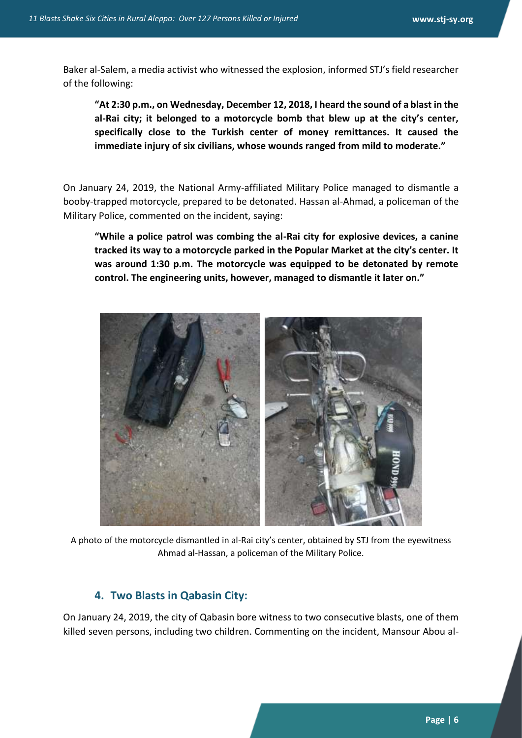Baker al-Salem, a media activist who witnessed the explosion, informed STJ's field researcher of the following:

**"At 2:30 p.m., on Wednesday, December 12, 2018, I heard the sound of a blast in the al-Rai city; it belonged to a motorcycle bomb that blew up at the city's center, specifically close to the Turkish center of money remittances. It caused the immediate injury of six civilians, whose wounds ranged from mild to moderate."**

On January 24, 2019, the National Army-affiliated Military Police managed to dismantle a booby-trapped motorcycle, prepared to be detonated. Hassan al-Ahmad, a policeman of the Military Police, commented on the incident, saying:

**"While a police patrol was combing the al-Rai city for explosive devices, a canine tracked its way to a motorcycle parked in the Popular Market at the city's center. It was around 1:30 p.m. The motorcycle was equipped to be detonated by remote control. The engineering units, however, managed to dismantle it later on."**



A photo of the motorcycle dismantled in al-Rai city's center, obtained by STJ from the eyewitness Ahmad al-Hassan, a policeman of the Military Police.

#### **4. Two Blasts in Qabasin City:**

On January 24, 2019, the city of Qabasin bore witness to two consecutive blasts, one of them killed seven persons, including two children. Commenting on the incident, Mansour Abou al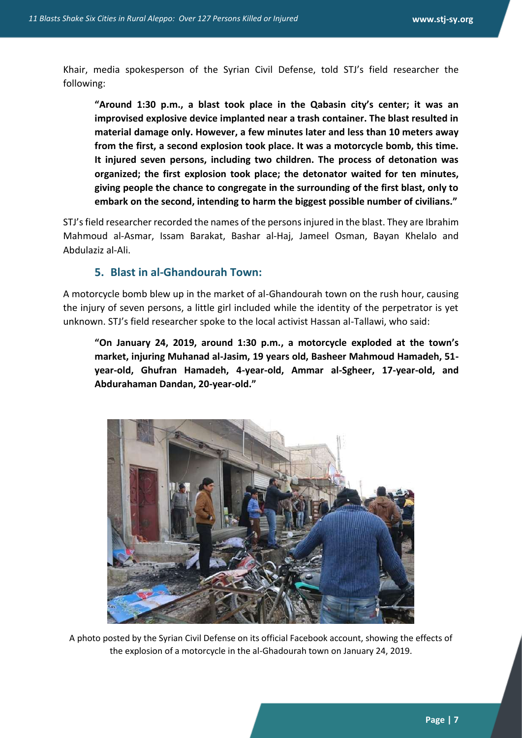Khair, media spokesperson of the Syrian Civil Defense, told STJ's field researcher the following:

**"Around 1:30 p.m., a blast took place in the Qabasin city's center; it was an improvised explosive device implanted near a trash container. The blast resulted in material damage only. However, a few minutes later and less than 10 meters away from the first, a second explosion took place. It was a motorcycle bomb, this time. It injured seven persons, including two children. The process of detonation was organized; the first explosion took place; the detonator waited for ten minutes, giving people the chance to congregate in the surrounding of the first blast, only to embark on the second, intending to harm the biggest possible number of civilians."** 

STJ's field researcher recorded the names of the persons injured in the blast. They are Ibrahim Mahmoud al-Asmar, Issam Barakat, Bashar al-Haj, Jameel Osman, Bayan Khelalo and Abdulaziz al-Ali.

#### **5. Blast in al-Ghandourah Town:**

A motorcycle bomb blew up in the market of al-Ghandourah town on the rush hour, causing the injury of seven persons, a little girl included while the identity of the perpetrator is yet unknown. STJ's field researcher spoke to the local activist Hassan al-Tallawi, who said:

**"On January 24, 2019, around 1:30 p.m., a motorcycle exploded at the town's market, injuring Muhanad al-Jasim, 19 years old, Basheer Mahmoud Hamadeh, 51 year-old, Ghufran Hamadeh, 4-year-old, Ammar al-Sgheer, 17-year-old, and Abdurahaman Dandan, 20-year-old."**



A photo posted by the Syrian Civil Defense on its official Facebook account, showing the effects of the explosion of a motorcycle in the al-Ghadourah town on January 24, 2019.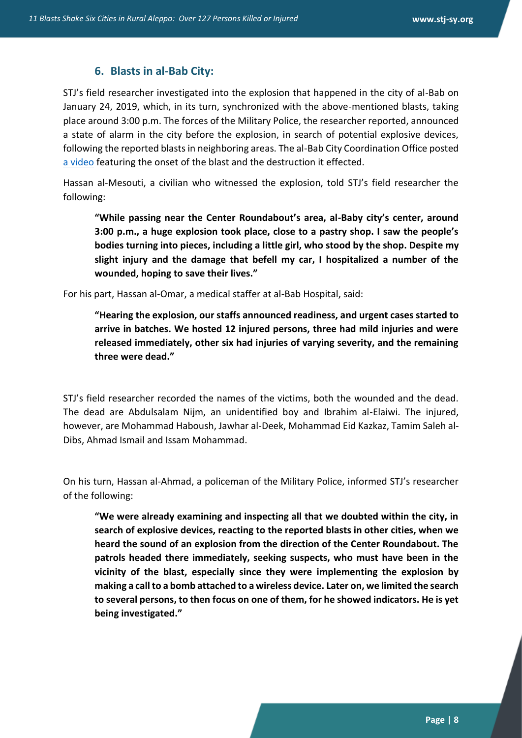#### **6. Blasts in al-Bab City:**

STJ's field researcher investigated into the explosion that happened in the city of al-Bab on January 24, 2019, which, in its turn, synchronized with the above-mentioned blasts, taking place around 3:00 p.m. The forces of the Military Police, the researcher reported, announced a state of alarm in the city before the explosion, in search of potential explosive devices, following the reported blasts in neighboring areas. The al-Bab City Coordination Office posted [a video](11%20Blasts%20Shake%20Six%20Cities%20in%20Rural%20Aleppo%20-%20Over%20127%20Persons%20Killed%20or%20Injured.docx) featuring the onset of the blast and the destruction it effected.

Hassan al-Mesouti, a civilian who witnessed the explosion, told STJ's field researcher the following:

**"While passing near the Center Roundabout's area, al-Baby city's center, around 3:00 p.m., a huge explosion took place, close to a pastry shop. I saw the people's bodies turning into pieces, including a little girl, who stood by the shop. Despite my slight injury and the damage that befell my car, I hospitalized a number of the wounded, hoping to save their lives."** 

For his part, Hassan al-Omar, a medical staffer at al-Bab Hospital, said:

**"Hearing the explosion, our staffs announced readiness, and urgent cases started to arrive in batches. We hosted 12 injured persons, three had mild injuries and were released immediately, other six had injuries of varying severity, and the remaining three were dead."**

STJ's field researcher recorded the names of the victims, both the wounded and the dead. The dead are Abdulsalam Nijm, an unidentified boy and Ibrahim al-Elaiwi. The injured, however, are Mohammad Haboush, Jawhar al-Deek, Mohammad Eid Kazkaz, Tamim Saleh al-Dibs, Ahmad Ismail and Issam Mohammad.

On his turn, Hassan al-Ahmad, a policeman of the Military Police, informed STJ's researcher of the following:

**"We were already examining and inspecting all that we doubted within the city, in search of explosive devices, reacting to the reported blasts in other cities, when we heard the sound of an explosion from the direction of the Center Roundabout. The patrols headed there immediately, seeking suspects, who must have been in the vicinity of the blast, especially since they were implementing the explosion by making a call to a bomb attached to a wireless device. Later on, we limited the search to several persons, to then focus on one of them, for he showed indicators. He is yet being investigated."**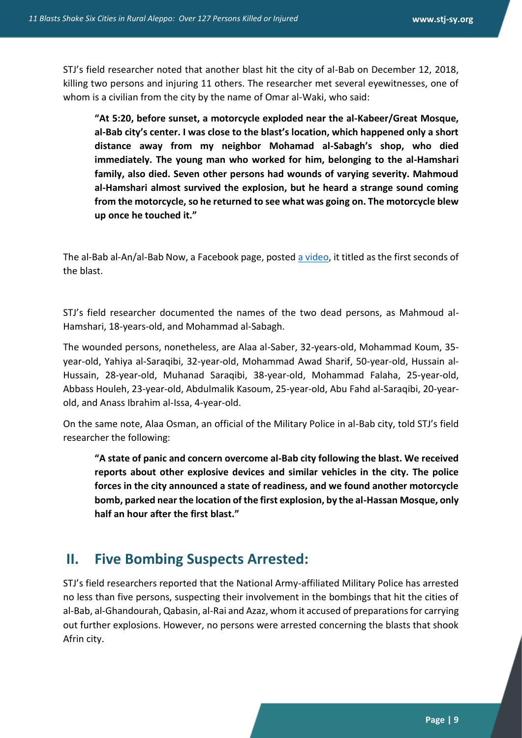STJ's field researcher noted that another blast hit the city of al-Bab on December 12, 2018, killing two persons and injuring 11 others. The researcher met several eyewitnesses, one of whom is a civilian from the city by the name of Omar al-Waki, who said:

**"At 5:20, before sunset, a motorcycle exploded near the al-Kabeer/Great Mosque, al-Bab city's center. I was close to the blast's location, which happened only a short distance away from my neighbor Mohamad al-Sabagh's shop, who died immediately. The young man who worked for him, belonging to the al-Hamshari family, also died. Seven other persons had wounds of varying severity. Mahmoud al-Hamshari almost survived the explosion, but he heard a strange sound coming from the motorcycle, so he returned to see what was going on. The motorcycle blew up once he touched it."**

The al-Bab al-An/al-Bab Now, a Facebook page, posted [a video,](11%20Blasts%20Shake%20Six%20Cities%20in%20Rural%20Aleppo%20-%20Over%20127%20Persons%20Killed%20or%20Injured.docx) it titled as the first seconds of the blast.

STJ's field researcher documented the names of the two dead persons, as Mahmoud al-Hamshari, 18-years-old, and Mohammad al-Sabagh.

The wounded persons, nonetheless, are Alaa al-Saber, 32-years-old, Mohammad Koum, 35 year-old, Yahiya al-Saraqibi, 32-year-old, Mohammad Awad Sharif, 50-year-old, Hussain al-Hussain, 28-year-old, Muhanad Saraqibi, 38-year-old, Mohammad Falaha, 25-year-old, Abbass Houleh, 23-year-old, Abdulmalik Kasoum, 25-year-old, Abu Fahd al-Saraqibi, 20-yearold, and Anass Ibrahim al-Issa, 4-year-old.

On the same note, Alaa Osman, an official of the Military Police in al-Bab city, told STJ's field researcher the following:

**"A state of panic and concern overcome al-Bab city following the blast. We received reports about other explosive devices and similar vehicles in the city. The police forces in the city announced a state of readiness, and we found another motorcycle bomb, parked near the location of the first explosion, by the al-Hassan Mosque, only half an hour after the first blast."**

## **II. Five Bombing Suspects Arrested:**

STJ's field researchers reported that the National Army-affiliated Military Police has arrested no less than five persons, suspecting their involvement in the bombings that hit the cities of al-Bab, al-Ghandourah, Qabasin, al-Rai and Azaz, whom it accused of preparations for carrying out further explosions. However, no persons were arrested concerning the blasts that shook Afrin city.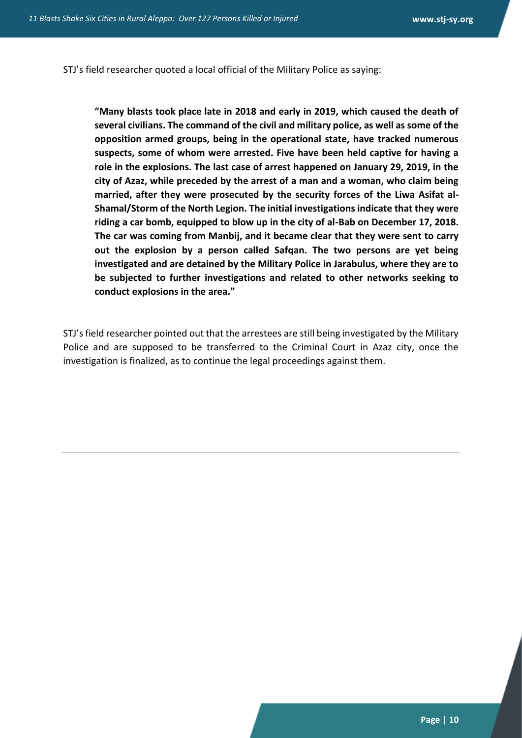STJ's field researcher quoted a local official of the Military Police as saying:

**"Many blasts took place late in 2018 and early in 2019, which caused the death of several civilians. The command of the civil and military police, as well as some of the opposition armed groups, being in the operational state, have tracked numerous suspects, some of whom were arrested. Five have been held captive for having a role in the explosions. The last case of arrest happened on January 29, 2019, in the city of Azaz, while preceded by the arrest of a man and a woman, who claim being married, after they were prosecuted by the security forces of the Liwa Asifat al-Shamal/Storm of the North Legion. The initial investigations indicate that they were riding a car bomb, equipped to blow up in the city of al-Bab on December 17, 2018. The car was coming from Manbij, and it became clear that they were sent to carry out the explosion by a person called Safqan. The two persons are yet being investigated and are detained by the Military Police in Jarabulus, where they are to be subjected to further investigations and related to other networks seeking to conduct explosions in the area."**

STJ's field researcher pointed out that the arrestees are still being investigated by the Military Police and are supposed to be transferred to the Criminal Court in Azaz city, once the investigation is finalized, as to continue the legal proceedings against them.